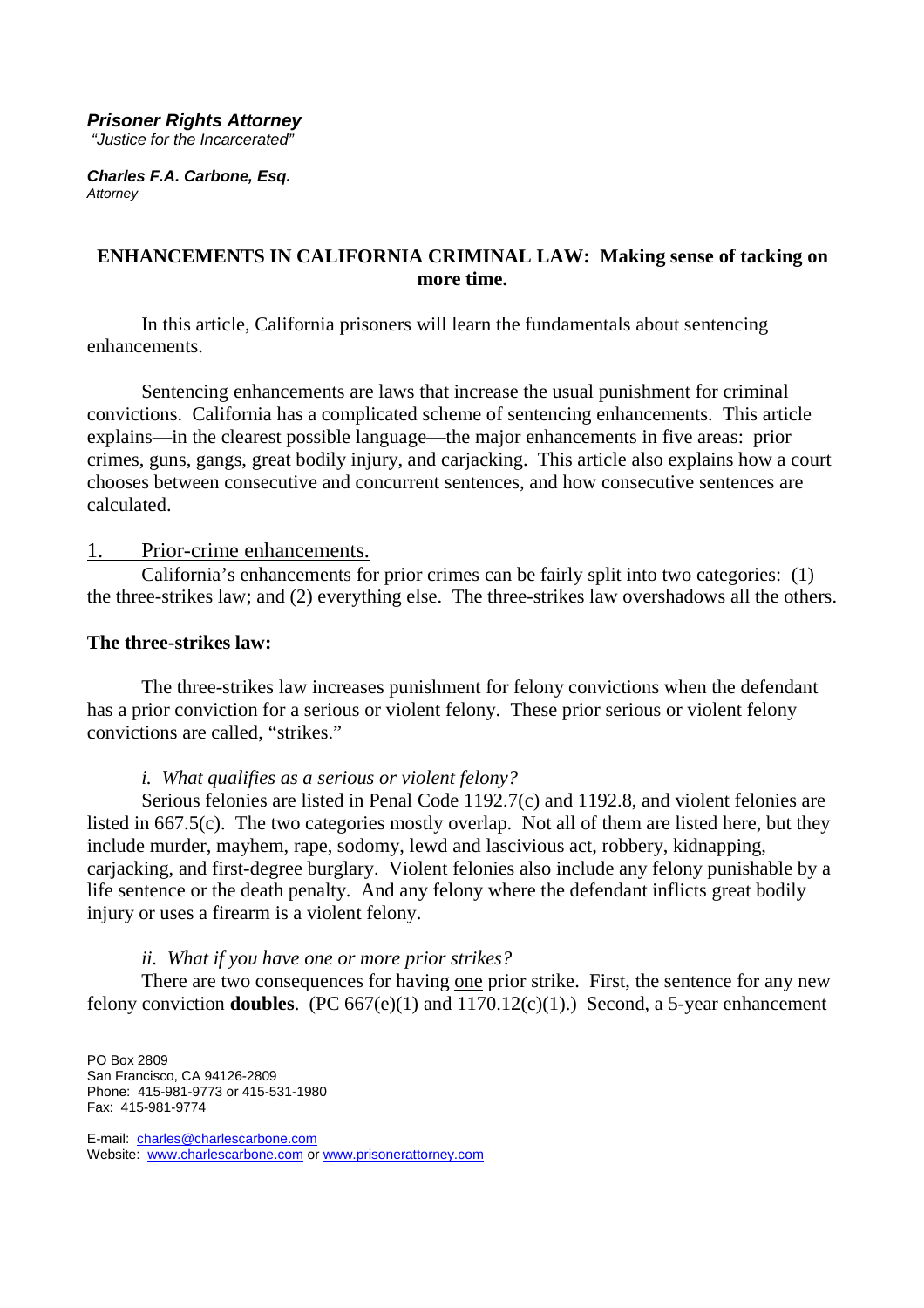#### **Prisoner Rights Attorney**

"Justice for the Incarcerated"

**Charles F.A. Carbone, Esq. Attorney** 

# **ENHANCEMENTS IN CALIFORNIA CRIMINAL LAW: Making sense of tacking on more time.**

 In this article, California prisoners will learn the fundamentals about sentencing enhancements.

 Sentencing enhancements are laws that increase the usual punishment for criminal convictions. California has a complicated scheme of sentencing enhancements. This article explains—in the clearest possible language—the major enhancements in five areas: prior crimes, guns, gangs, great bodily injury, and carjacking. This article also explains how a court chooses between consecutive and concurrent sentences, and how consecutive sentences are calculated.

# 1. Prior-crime enhancements.

 California's enhancements for prior crimes can be fairly split into two categories: (1) the three-strikes law; and (2) everything else. The three-strikes law overshadows all the others.

#### **The three-strikes law:**

 The three-strikes law increases punishment for felony convictions when the defendant has a prior conviction for a serious or violent felony. These prior serious or violent felony convictions are called, "strikes."

#### *i. What qualifies as a serious or violent felony?*

 Serious felonies are listed in Penal Code 1192.7(c) and 1192.8, and violent felonies are listed in 667.5(c). The two categories mostly overlap. Not all of them are listed here, but they include murder, mayhem, rape, sodomy, lewd and lascivious act, robbery, kidnapping, carjacking, and first-degree burglary. Violent felonies also include any felony punishable by a life sentence or the death penalty. And any felony where the defendant inflicts great bodily injury or uses a firearm is a violent felony.

#### *ii. What if you have one or more prior strikes?*

 There are two consequences for having one prior strike. First, the sentence for any new felony conviction **doubles**. (PC 667(e)(1) and 1170.12(c)(1).) Second, a 5-year enhancement

PO Box 2809 San Francisco, CA 94126-2809 Phone: 415-981-9773 or 415-531-1980 Fax: 415-981-9774

E-mail: charles@charlescarbone.com Website: www.charlescarbone.com or www.prisonerattorney.com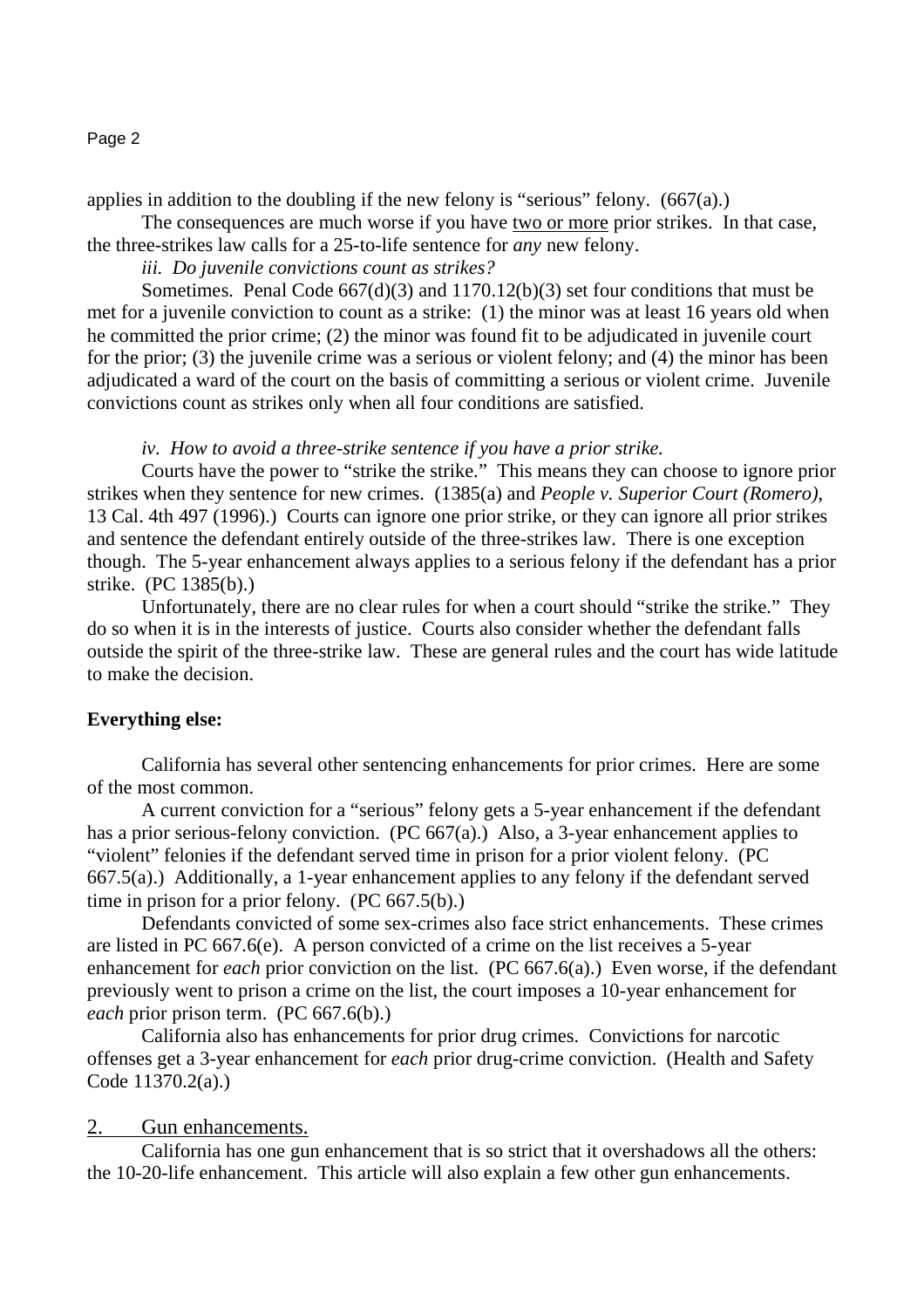applies in addition to the doubling if the new felony is "serious" felony.  $(667(a))$ 

The consequences are much worse if you have two or more prior strikes. In that case,

the three-strikes law calls for a 25-to-life sentence for *any* new felony.

*iii. Do juvenile convictions count as strikes?*

 Sometimes. Penal Code 667(d)(3) and 1170.12(b)(3) set four conditions that must be met for a juvenile conviction to count as a strike: (1) the minor was at least 16 years old when he committed the prior crime; (2) the minor was found fit to be adjudicated in juvenile court for the prior; (3) the juvenile crime was a serious or violent felony; and (4) the minor has been adjudicated a ward of the court on the basis of committing a serious or violent crime. Juvenile convictions count as strikes only when all four conditions are satisfied.

# *iv. How to avoid a three-strike sentence if you have a prior strike.*

 Courts have the power to "strike the strike." This means they can choose to ignore prior strikes when they sentence for new crimes. (1385(a) and *People v. Superior Court (Romero)*, 13 Cal. 4th 497 (1996).) Courts can ignore one prior strike, or they can ignore all prior strikes and sentence the defendant entirely outside of the three-strikes law. There is one exception though. The 5-year enhancement always applies to a serious felony if the defendant has a prior strike. (PC 1385(b).)

 Unfortunately, there are no clear rules for when a court should "strike the strike." They do so when it is in the interests of justice. Courts also consider whether the defendant falls outside the spirit of the three-strike law. These are general rules and the court has wide latitude to make the decision.

# **Everything else:**

 California has several other sentencing enhancements for prior crimes. Here are some of the most common.

 A current conviction for a "serious" felony gets a 5-year enhancement if the defendant has a prior serious-felony conviction. (PC 667(a).) Also, a 3-year enhancement applies to "violent" felonies if the defendant served time in prison for a prior violent felony. (PC 667.5(a).) Additionally, a 1-year enhancement applies to any felony if the defendant served time in prison for a prior felony. (PC 667.5(b).)

 Defendants convicted of some sex-crimes also face strict enhancements. These crimes are listed in PC 667.6(e). A person convicted of a crime on the list receives a 5-year enhancement for *each* prior conviction on the list. (PC 667.6(a).) Even worse, if the defendant previously went to prison a crime on the list, the court imposes a 10-year enhancement for *each* prior prison term. (PC 667.6(b).)

 California also has enhancements for prior drug crimes. Convictions for narcotic offenses get a 3-year enhancement for *each* prior drug-crime conviction. (Health and Safety Code 11370.2(a).)

# 2. Gun enhancements.

 California has one gun enhancement that is so strict that it overshadows all the others: the 10-20-life enhancement. This article will also explain a few other gun enhancements.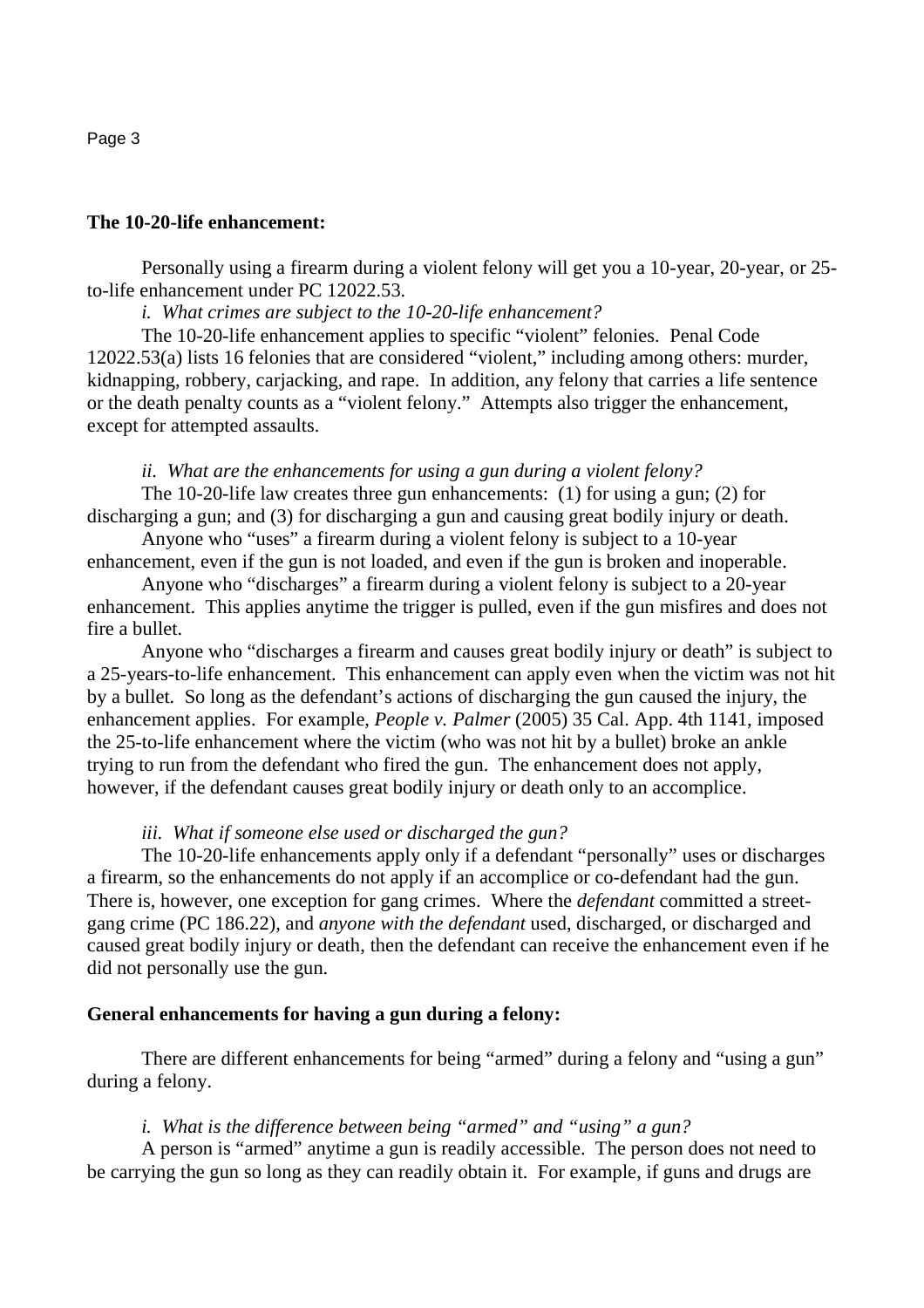#### **The 10-20-life enhancement:**

 Personally using a firearm during a violent felony will get you a 10-year, 20-year, or 25 to-life enhancement under PC 12022.53.

*i. What crimes are subject to the 10-20-life enhancement?*

 The 10-20-life enhancement applies to specific "violent" felonies. Penal Code 12022.53(a) lists 16 felonies that are considered "violent," including among others: murder, kidnapping, robbery, carjacking, and rape. In addition, any felony that carries a life sentence or the death penalty counts as a "violent felony." Attempts also trigger the enhancement, except for attempted assaults.

# *ii. What are the enhancements for using a gun during a violent felony?*

 The 10-20-life law creates three gun enhancements: (1) for using a gun; (2) for discharging a gun; and (3) for discharging a gun and causing great bodily injury or death.

 Anyone who "uses" a firearm during a violent felony is subject to a 10-year enhancement, even if the gun is not loaded, and even if the gun is broken and inoperable.

 Anyone who "discharges" a firearm during a violent felony is subject to a 20-year enhancement. This applies anytime the trigger is pulled, even if the gun misfires and does not fire a bullet.

 Anyone who "discharges a firearm and causes great bodily injury or death" is subject to a 25-years-to-life enhancement. This enhancement can apply even when the victim was not hit by a bullet. So long as the defendant's actions of discharging the gun caused the injury, the enhancement applies. For example, *People v. Palmer* (2005) 35 Cal. App. 4th 1141, imposed the 25-to-life enhancement where the victim (who was not hit by a bullet) broke an ankle trying to run from the defendant who fired the gun. The enhancement does not apply, however, if the defendant causes great bodily injury or death only to an accomplice.

#### *iii. What if someone else used or discharged the gun?*

 The 10-20-life enhancements apply only if a defendant "personally" uses or discharges a firearm, so the enhancements do not apply if an accomplice or co-defendant had the gun. There is, however, one exception for gang crimes. Where the *defendant* committed a streetgang crime (PC 186.22), and *anyone with the defendant* used, discharged, or discharged and caused great bodily injury or death, then the defendant can receive the enhancement even if he did not personally use the gun.

## **General enhancements for having a gun during a felony:**

 There are different enhancements for being "armed" during a felony and "using a gun" during a felony.

#### *i. What is the difference between being "armed" and "using" a gun?*

 A person is "armed" anytime a gun is readily accessible. The person does not need to be carrying the gun so long as they can readily obtain it. For example, if guns and drugs are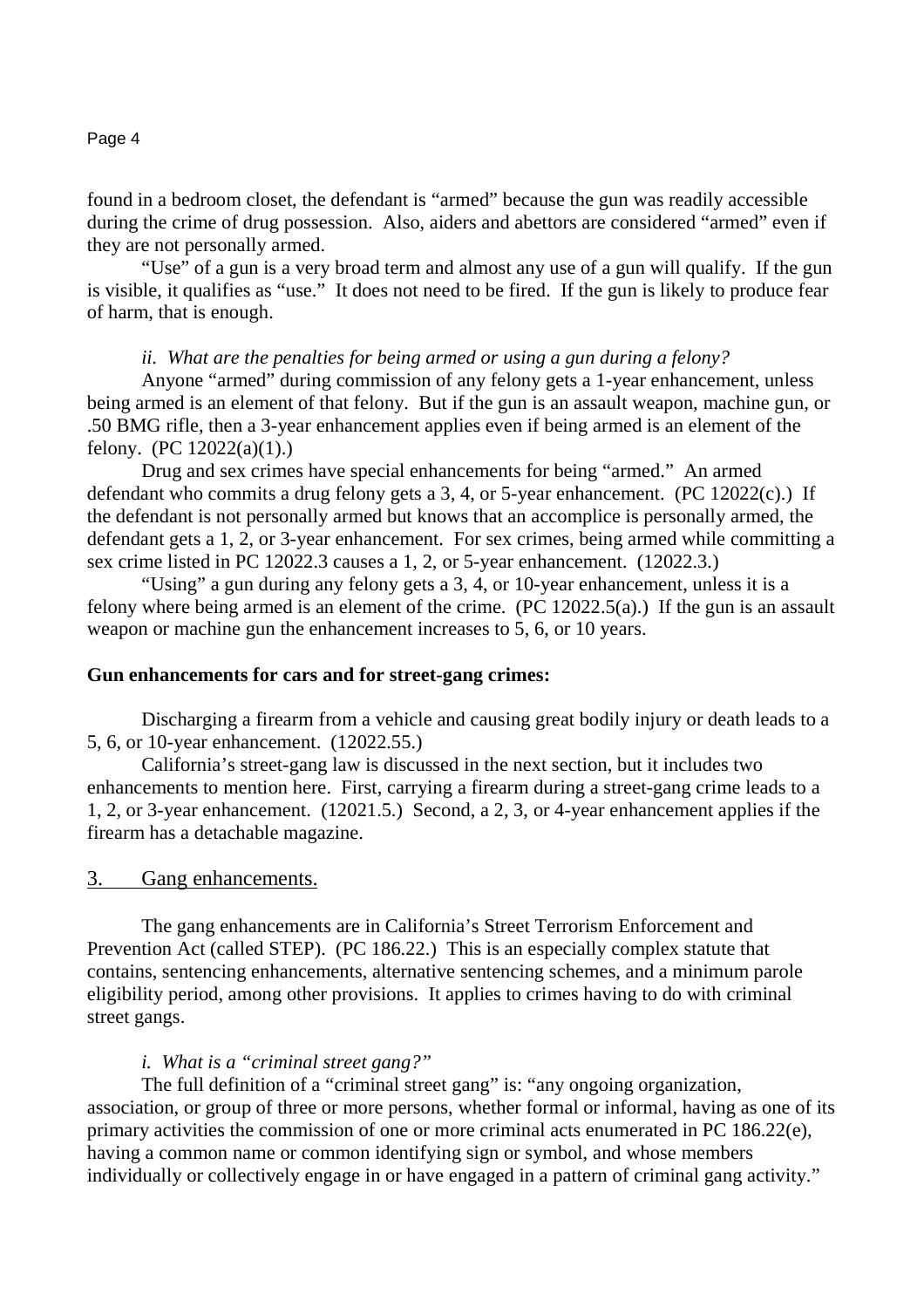found in a bedroom closet, the defendant is "armed" because the gun was readily accessible during the crime of drug possession. Also, aiders and abettors are considered "armed" even if they are not personally armed.

 "Use" of a gun is a very broad term and almost any use of a gun will qualify. If the gun is visible, it qualifies as "use." It does not need to be fired. If the gun is likely to produce fear of harm, that is enough.

## *ii. What are the penalties for being armed or using a gun during a felony?*

 Anyone "armed" during commission of any felony gets a 1-year enhancement, unless being armed is an element of that felony. But if the gun is an assault weapon, machine gun, or .50 BMG rifle, then a 3-year enhancement applies even if being armed is an element of the felony.  $(PC 12022(a)(1))$ .

 Drug and sex crimes have special enhancements for being "armed." An armed defendant who commits a drug felony gets a 3, 4, or 5-year enhancement. (PC 12022(c).) If the defendant is not personally armed but knows that an accomplice is personally armed, the defendant gets a 1, 2, or 3-year enhancement. For sex crimes, being armed while committing a sex crime listed in PC 12022.3 causes a 1, 2, or 5-year enhancement. (12022.3.)

 "Using" a gun during any felony gets a 3, 4, or 10-year enhancement, unless it is a felony where being armed is an element of the crime. (PC 12022.5(a).) If the gun is an assault weapon or machine gun the enhancement increases to 5, 6, or 10 years.

## **Gun enhancements for cars and for street-gang crimes:**

 Discharging a firearm from a vehicle and causing great bodily injury or death leads to a 5, 6, or 10-year enhancement. (12022.55.)

 California's street-gang law is discussed in the next section, but it includes two enhancements to mention here. First, carrying a firearm during a street-gang crime leads to a 1, 2, or 3-year enhancement. (12021.5.) Second, a 2, 3, or 4-year enhancement applies if the firearm has a detachable magazine.

# 3. Gang enhancements.

 The gang enhancements are in California's Street Terrorism Enforcement and Prevention Act (called STEP). (PC 186.22.) This is an especially complex statute that contains, sentencing enhancements, alternative sentencing schemes, and a minimum parole eligibility period, among other provisions. It applies to crimes having to do with criminal street gangs.

## *i. What is a "criminal street gang?"*

 The full definition of a "criminal street gang" is: "any ongoing organization, association, or group of three or more persons, whether formal or informal, having as one of its primary activities the commission of one or more criminal acts enumerated in PC 186.22(e), having a common name or common identifying sign or symbol, and whose members individually or collectively engage in or have engaged in a pattern of criminal gang activity."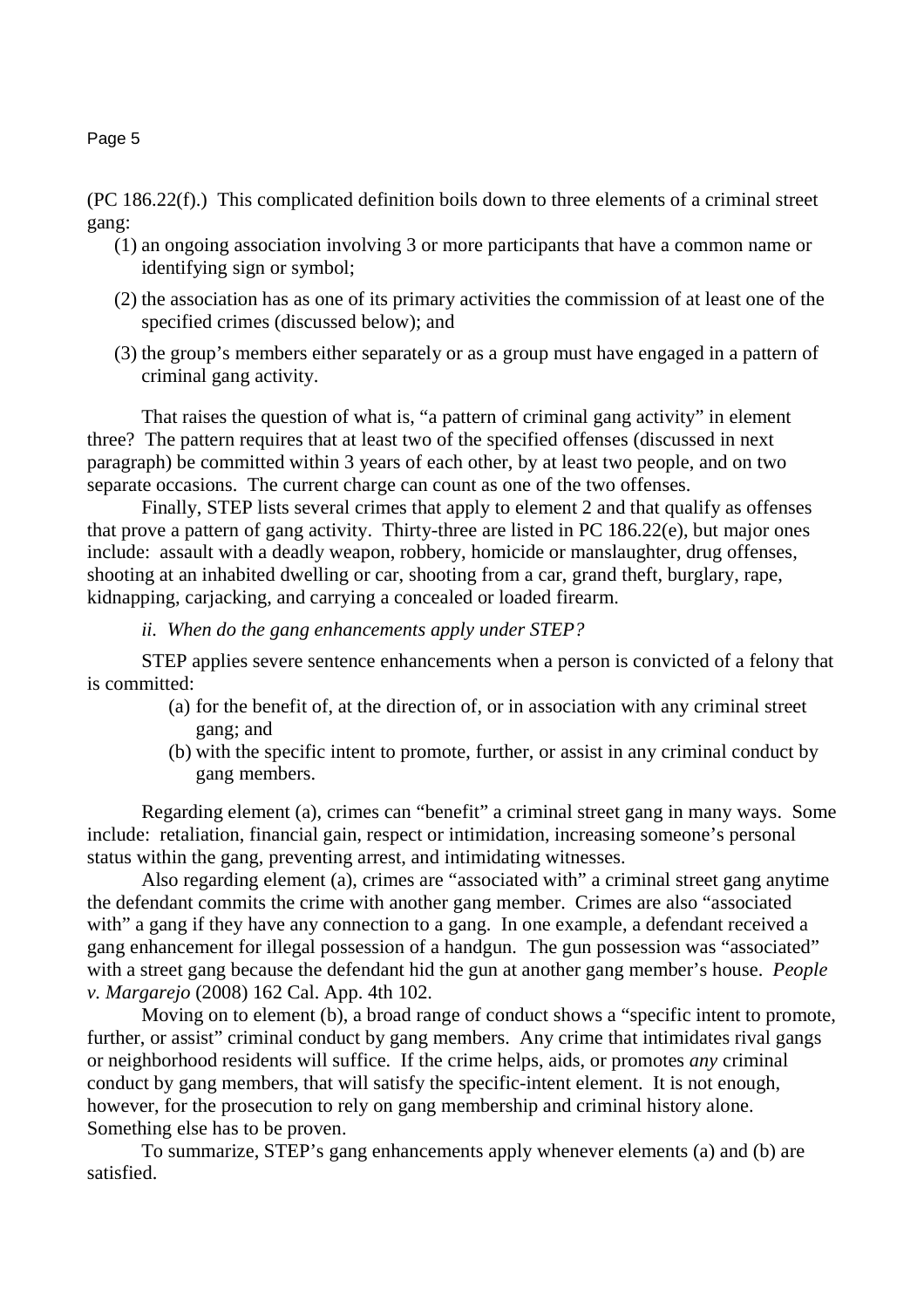(PC 186.22(f).) This complicated definition boils down to three elements of a criminal street gang:

- (1) an ongoing association involving 3 or more participants that have a common name or identifying sign or symbol;
- (2) the association has as one of its primary activities the commission of at least one of the specified crimes (discussed below); and
- (3) the group's members either separately or as a group must have engaged in a pattern of criminal gang activity.

 That raises the question of what is, "a pattern of criminal gang activity" in element three? The pattern requires that at least two of the specified offenses (discussed in next paragraph) be committed within 3 years of each other, by at least two people, and on two separate occasions. The current charge can count as one of the two offenses.

 Finally, STEP lists several crimes that apply to element 2 and that qualify as offenses that prove a pattern of gang activity. Thirty-three are listed in PC 186.22(e), but major ones include: assault with a deadly weapon, robbery, homicide or manslaughter, drug offenses, shooting at an inhabited dwelling or car, shooting from a car, grand theft, burglary, rape, kidnapping, carjacking, and carrying a concealed or loaded firearm.

*ii. When do the gang enhancements apply under STEP?*

 STEP applies severe sentence enhancements when a person is convicted of a felony that is committed:

- (a) for the benefit of, at the direction of, or in association with any criminal street gang; and
- (b) with the specific intent to promote, further, or assist in any criminal conduct by gang members.

 Regarding element (a), crimes can "benefit" a criminal street gang in many ways. Some include: retaliation, financial gain, respect or intimidation, increasing someone's personal status within the gang, preventing arrest, and intimidating witnesses.

 Also regarding element (a), crimes are "associated with" a criminal street gang anytime the defendant commits the crime with another gang member. Crimes are also "associated with" a gang if they have any connection to a gang. In one example, a defendant received a gang enhancement for illegal possession of a handgun. The gun possession was "associated" with a street gang because the defendant hid the gun at another gang member's house. *People v. Margarejo* (2008) 162 Cal. App. 4th 102.

 Moving on to element (b), a broad range of conduct shows a "specific intent to promote, further, or assist" criminal conduct by gang members. Any crime that intimidates rival gangs or neighborhood residents will suffice. If the crime helps, aids, or promotes *any* criminal conduct by gang members, that will satisfy the specific-intent element. It is not enough, however, for the prosecution to rely on gang membership and criminal history alone. Something else has to be proven.

 To summarize, STEP's gang enhancements apply whenever elements (a) and (b) are satisfied.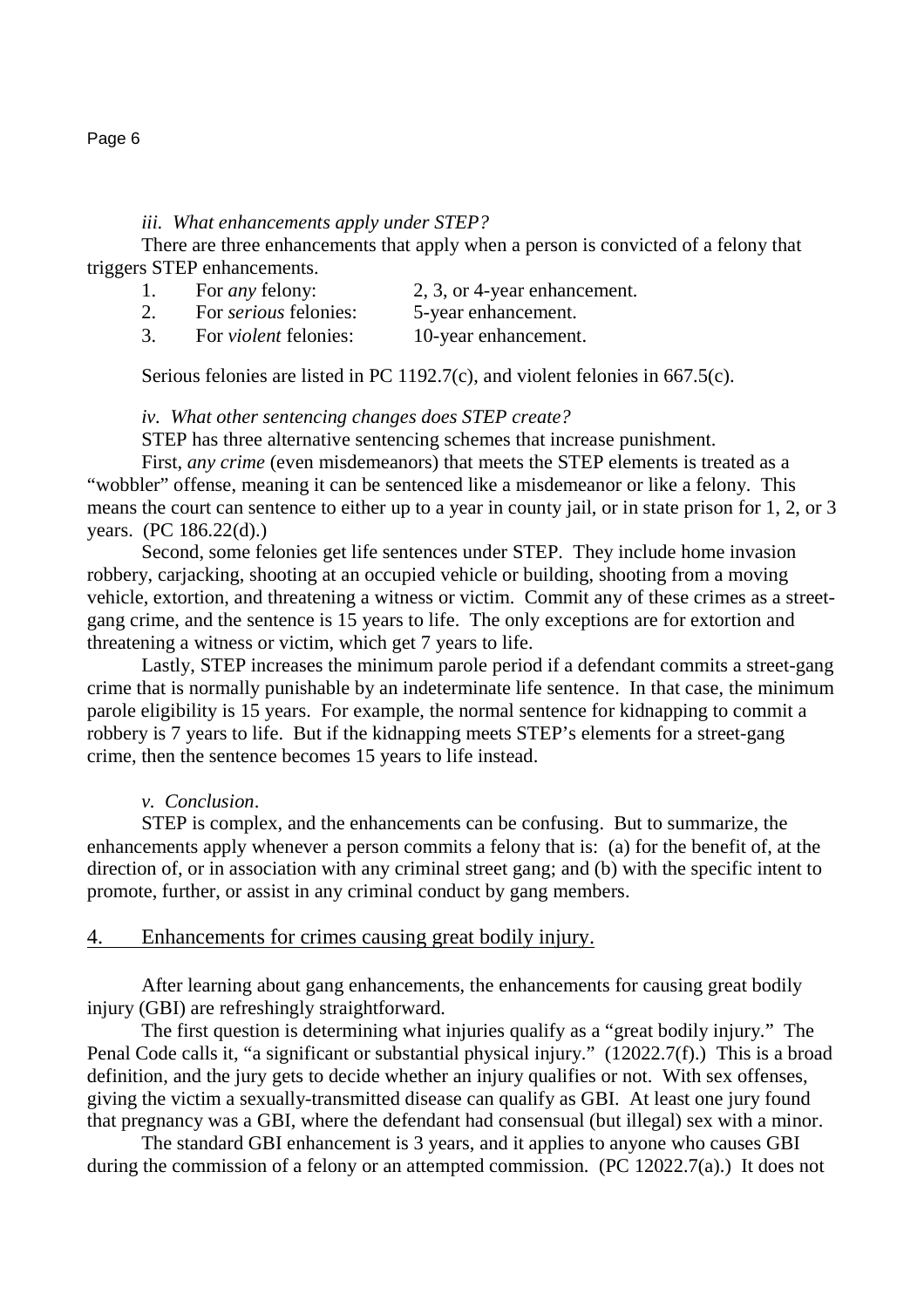*iii. What enhancements apply under STEP?*

 There are three enhancements that apply when a person is convicted of a felony that triggers STEP enhancements.

- 1. For *any* felony: 2, 3, or 4-year enhancement.
- 2. For *serious* felonies: 5-year enhancement.
- 3. For *violent* felonies: 10-year enhancement.

Serious felonies are listed in PC 1192.7(c), and violent felonies in 667.5(c).

# *iv. What other sentencing changes does STEP create?*

STEP has three alternative sentencing schemes that increase punishment.

First, *any crime* (even misdemeanors) that meets the STEP elements is treated as a "wobbler" offense, meaning it can be sentenced like a misdemeanor or like a felony. This means the court can sentence to either up to a year in county jail, or in state prison for 1, 2, or 3 years. (PC 186.22(d).)

 Second, some felonies get life sentences under STEP. They include home invasion robbery, carjacking, shooting at an occupied vehicle or building, shooting from a moving vehicle, extortion, and threatening a witness or victim. Commit any of these crimes as a streetgang crime, and the sentence is 15 years to life. The only exceptions are for extortion and threatening a witness or victim, which get 7 years to life.

 Lastly, STEP increases the minimum parole period if a defendant commits a street-gang crime that is normally punishable by an indeterminate life sentence. In that case, the minimum parole eligibility is 15 years. For example, the normal sentence for kidnapping to commit a robbery is 7 years to life. But if the kidnapping meets STEP's elements for a street-gang crime, then the sentence becomes 15 years to life instead.

# *v. Conclusion*.

 STEP is complex, and the enhancements can be confusing. But to summarize, the enhancements apply whenever a person commits a felony that is: (a) for the benefit of, at the direction of, or in association with any criminal street gang; and (b) with the specific intent to promote, further, or assist in any criminal conduct by gang members.

# 4. Enhancements for crimes causing great bodily injury.

 After learning about gang enhancements, the enhancements for causing great bodily injury (GBI) are refreshingly straightforward.

 The first question is determining what injuries qualify as a "great bodily injury." The Penal Code calls it, "a significant or substantial physical injury." (12022.7(f).) This is a broad definition, and the jury gets to decide whether an injury qualifies or not. With sex offenses, giving the victim a sexually-transmitted disease can qualify as GBI. At least one jury found that pregnancy was a GBI, where the defendant had consensual (but illegal) sex with a minor.

 The standard GBI enhancement is 3 years, and it applies to anyone who causes GBI during the commission of a felony or an attempted commission. (PC 12022.7(a).) It does not

#### Page 6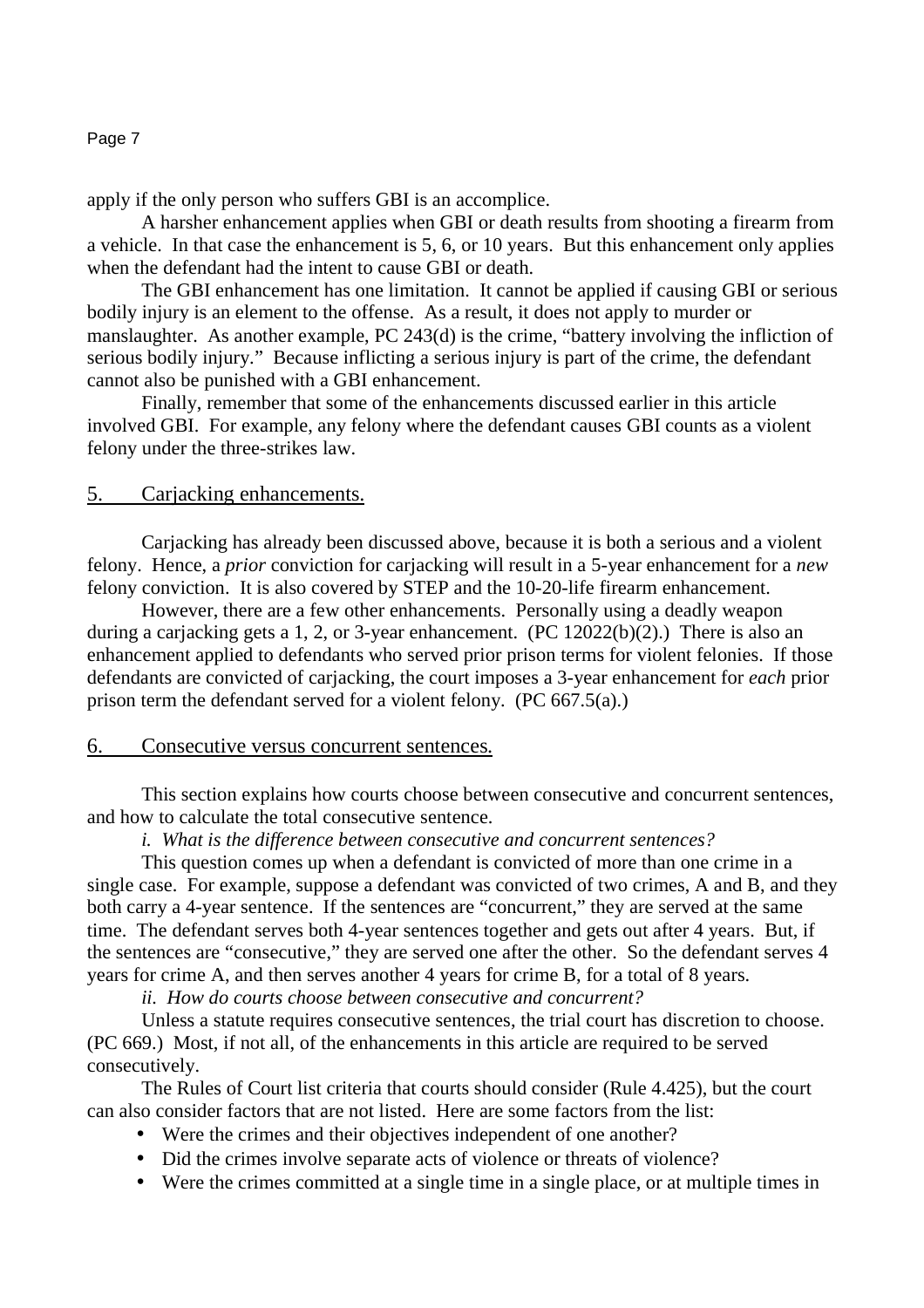apply if the only person who suffers GBI is an accomplice.

 A harsher enhancement applies when GBI or death results from shooting a firearm from a vehicle. In that case the enhancement is 5, 6, or 10 years. But this enhancement only applies when the defendant had the intent to cause GBI or death.

 The GBI enhancement has one limitation. It cannot be applied if causing GBI or serious bodily injury is an element to the offense. As a result, it does not apply to murder or manslaughter. As another example, PC 243(d) is the crime, "battery involving the infliction of serious bodily injury." Because inflicting a serious injury is part of the crime, the defendant cannot also be punished with a GBI enhancement.

 Finally, remember that some of the enhancements discussed earlier in this article involved GBI. For example, any felony where the defendant causes GBI counts as a violent felony under the three-strikes law.

# 5. Carjacking enhancements.

 Carjacking has already been discussed above, because it is both a serious and a violent felony. Hence, a *prior* conviction for carjacking will result in a 5-year enhancement for a *new* felony conviction. It is also covered by STEP and the 10-20-life firearm enhancement.

 However, there are a few other enhancements. Personally using a deadly weapon during a carjacking gets a 1, 2, or 3-year enhancement. (PC 12022(b)(2).) There is also an enhancement applied to defendants who served prior prison terms for violent felonies. If those defendants are convicted of carjacking, the court imposes a 3-year enhancement for *each* prior prison term the defendant served for a violent felony. (PC 667.5(a).)

# 6. Consecutive versus concurrent sentences.

This section explains how courts choose between consecutive and concurrent sentences, and how to calculate the total consecutive sentence.

*i. What is the difference between consecutive and concurrent sentences?*

 This question comes up when a defendant is convicted of more than one crime in a single case. For example, suppose a defendant was convicted of two crimes, A and B, and they both carry a 4-year sentence. If the sentences are "concurrent," they are served at the same time. The defendant serves both 4-year sentences together and gets out after 4 years. But, if the sentences are "consecutive," they are served one after the other. So the defendant serves 4 years for crime A, and then serves another 4 years for crime B, for a total of 8 years.

*ii. How do courts choose between consecutive and concurrent?*

 Unless a statute requires consecutive sentences, the trial court has discretion to choose. (PC 669.) Most, if not all, of the enhancements in this article are required to be served consecutively.

 The Rules of Court list criteria that courts should consider (Rule 4.425), but the court can also consider factors that are not listed. Here are some factors from the list:

- Were the crimes and their objectives independent of one another?
- Did the crimes involve separate acts of violence or threats of violence?
- Were the crimes committed at a single time in a single place, or at multiple times in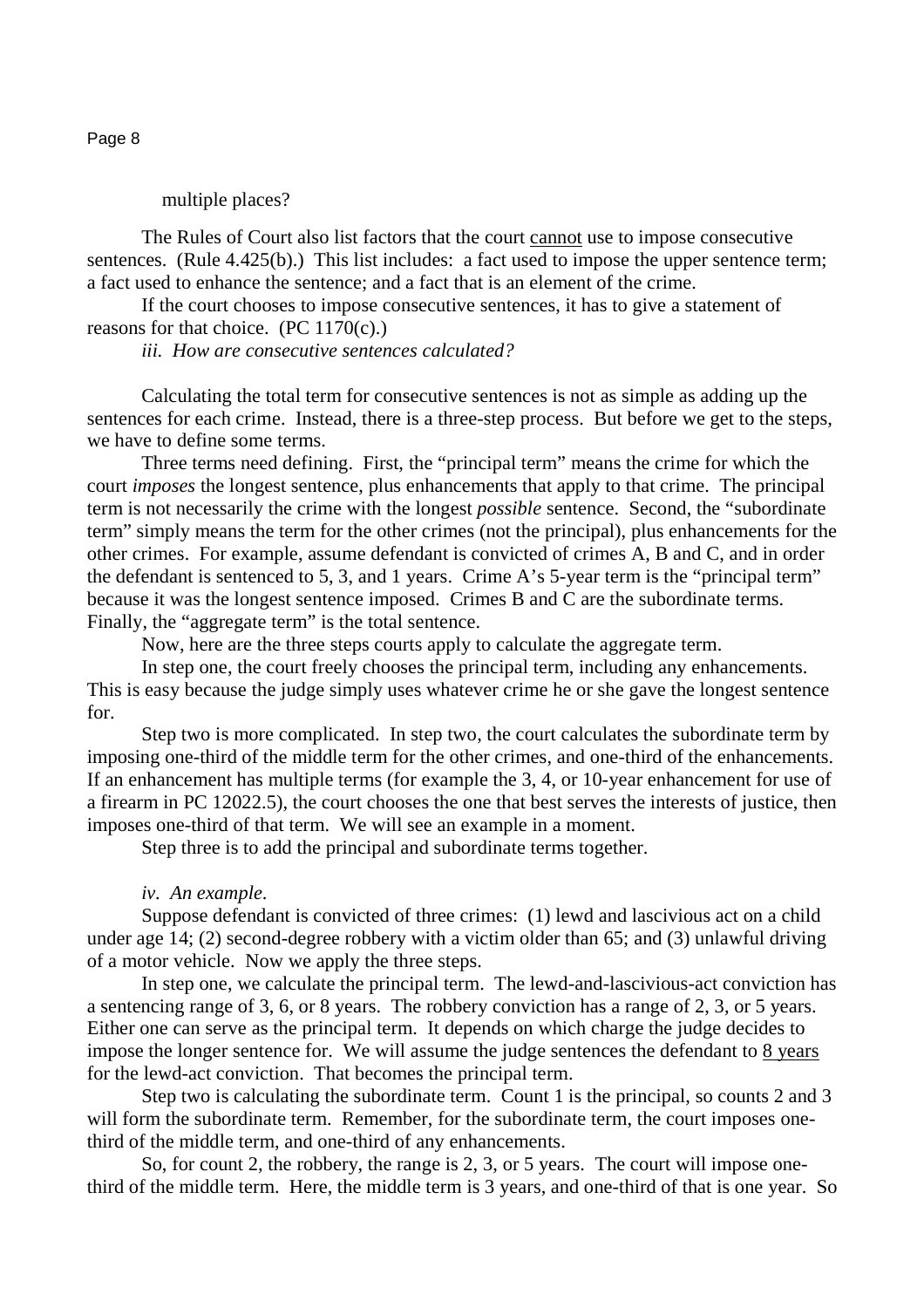multiple places?

 The Rules of Court also list factors that the court cannot use to impose consecutive sentences. (Rule 4.425(b).) This list includes: a fact used to impose the upper sentence term; a fact used to enhance the sentence; and a fact that is an element of the crime.

 If the court chooses to impose consecutive sentences, it has to give a statement of reasons for that choice. (PC 1170(c).)

*iii. How are consecutive sentences calculated?* 

 Calculating the total term for consecutive sentences is not as simple as adding up the sentences for each crime. Instead, there is a three-step process. But before we get to the steps, we have to define some terms.

 Three terms need defining. First, the "principal term" means the crime for which the court *imposes* the longest sentence, plus enhancements that apply to that crime. The principal term is not necessarily the crime with the longest *possible* sentence. Second, the "subordinate term" simply means the term for the other crimes (not the principal), plus enhancements for the other crimes. For example, assume defendant is convicted of crimes A, B and C, and in order the defendant is sentenced to 5, 3, and 1 years. Crime A's 5-year term is the "principal term" because it was the longest sentence imposed. Crimes B and C are the subordinate terms. Finally, the "aggregate term" is the total sentence.

Now, here are the three steps courts apply to calculate the aggregate term.

 In step one, the court freely chooses the principal term, including any enhancements. This is easy because the judge simply uses whatever crime he or she gave the longest sentence for.

 Step two is more complicated. In step two, the court calculates the subordinate term by imposing one-third of the middle term for the other crimes, and one-third of the enhancements. If an enhancement has multiple terms (for example the 3, 4, or 10-year enhancement for use of a firearm in PC 12022.5), the court chooses the one that best serves the interests of justice, then imposes one-third of that term. We will see an example in a moment.

Step three is to add the principal and subordinate terms together.

#### *iv. An example*.

 Suppose defendant is convicted of three crimes: (1) lewd and lascivious act on a child under age 14; (2) second-degree robbery with a victim older than 65; and (3) unlawful driving of a motor vehicle. Now we apply the three steps.

 In step one, we calculate the principal term. The lewd-and-lascivious-act conviction has a sentencing range of 3, 6, or 8 years. The robbery conviction has a range of 2, 3, or 5 years. Either one can serve as the principal term. It depends on which charge the judge decides to impose the longer sentence for. We will assume the judge sentences the defendant to 8 years for the lewd-act conviction. That becomes the principal term.

Step two is calculating the subordinate term. Count 1 is the principal, so counts 2 and 3 will form the subordinate term. Remember, for the subordinate term, the court imposes onethird of the middle term, and one-third of any enhancements.

 So, for count 2, the robbery, the range is 2, 3, or 5 years. The court will impose onethird of the middle term. Here, the middle term is 3 years, and one-third of that is one year. So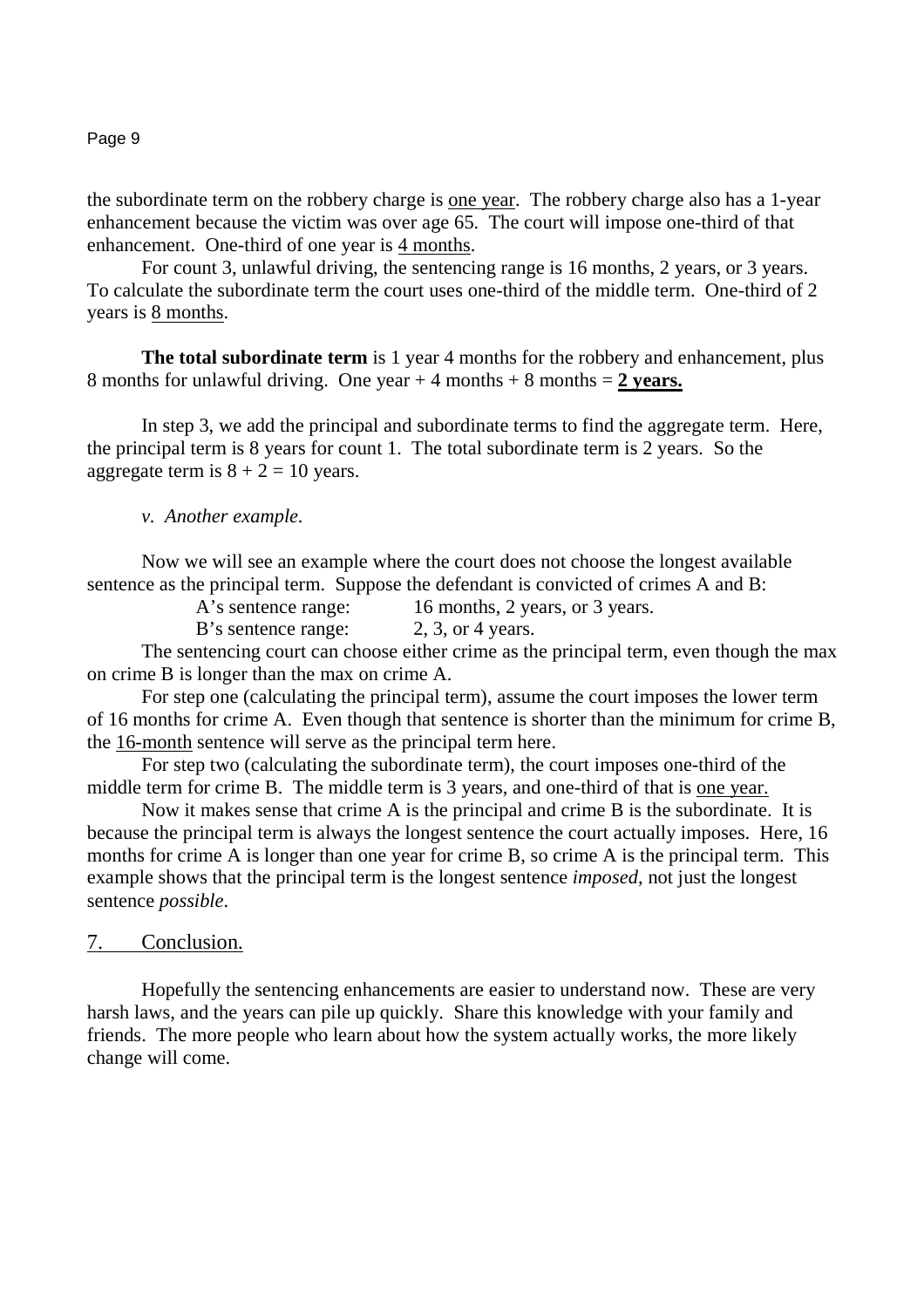the subordinate term on the robbery charge is one year. The robbery charge also has a 1-year enhancement because the victim was over age 65. The court will impose one-third of that enhancement. One-third of one year is 4 months.

 For count 3, unlawful driving, the sentencing range is 16 months, 2 years, or 3 years. To calculate the subordinate term the court uses one-third of the middle term. One-third of 2 years is 8 months.

**The total subordinate term** is 1 year 4 months for the robbery and enhancement, plus 8 months for unlawful driving. One year + 4 months + 8 months = **2 years.**

In step 3, we add the principal and subordinate terms to find the aggregate term. Here, the principal term is 8 years for count 1. The total subordinate term is 2 years. So the aggregate term is  $8 + 2 = 10$  years.

#### *v. Another example.*

 Now we will see an example where the court does not choose the longest available sentence as the principal term. Suppose the defendant is convicted of crimes A and B:

A's sentence range: 16 months, 2 years, or 3 years.

B's sentence range: 2, 3, or 4 years.

 The sentencing court can choose either crime as the principal term, even though the max on crime B is longer than the max on crime A.

 For step one (calculating the principal term), assume the court imposes the lower term of 16 months for crime A. Even though that sentence is shorter than the minimum for crime B, the 16-month sentence will serve as the principal term here.

 For step two (calculating the subordinate term), the court imposes one-third of the middle term for crime B. The middle term is 3 years, and one-third of that is one year.

 Now it makes sense that crime A is the principal and crime B is the subordinate. It is because the principal term is always the longest sentence the court actually imposes. Here, 16 months for crime A is longer than one year for crime B, so crime A is the principal term. This example shows that the principal term is the longest sentence *imposed*, not just the longest sentence *possible*.

## 7. Conclusion.

Hopefully the sentencing enhancements are easier to understand now. These are very harsh laws, and the years can pile up quickly. Share this knowledge with your family and friends. The more people who learn about how the system actually works, the more likely change will come.